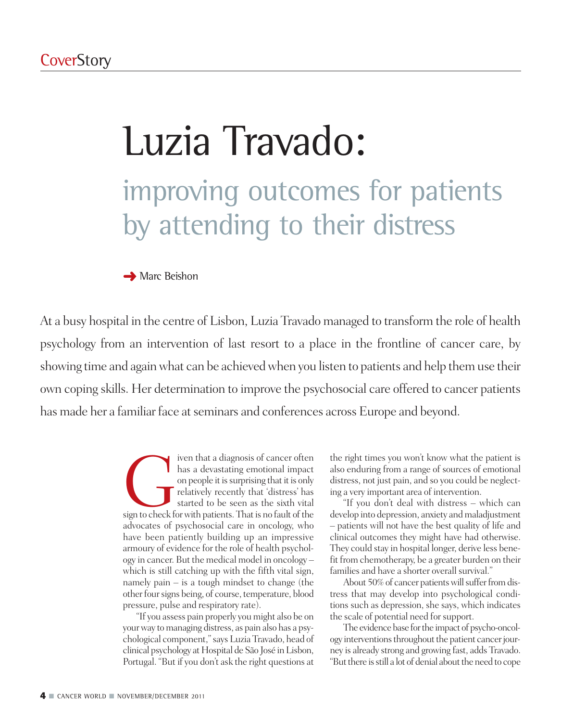# Luzia Travado: improving outcomes for patients by attending to their distress

**→** Marc Beishon

At a busy hospital in the centre of Lisbon, Luzia Travado managed to transform the role of health psychology from an intervention of last resort to a place in the frontline of cancer care, by showing time and again what can be achieved when you listen to patients and help them use their own coping skills. Her determination to improve the psychosocial care offered to cancer patients has made her a familiar face at seminars and conferences across Europe and beyond.

> Figure 1 and that a diagnosis of cancer often<br>has a devastating emotional impact<br>on people it is surprising that it is only<br>relatively recently that 'distress' has<br>started to be seen as the sixth vital<br>sign to check for wi has a devastating emotional impact on people it is surprising that it is only relatively recently that 'distress' has started to be seen as the sixth vital advocates of psychosocial care in oncology, who have been patiently building up an impressive armoury of evidence for the role of health psychology in cancer. But the medical model in oncology – which is still catching up with the fifth vital sign, namely pain – is a tough mindset to change (the otherfoursigns being, of course, temperature, blood pressure, pulse and respiratory rate).

> "If you assess pain properly you might also be on your way to managing distress, as pain also has a psychological component,"says Luzia Travado, head of clinical psychology at Hospital de São José in Lisbon, Portugal. "But if you don't ask the right questions at

the right times you won't know what the patient is also enduring from a range of sources of emotional distress, not just pain, and so you could be neglecting a very important area of intervention.

"If you don't deal with distress – which can develop into depression, anxiety and maladjustment – patients will not have the best quality of life and clinical outcomes they might have had otherwise. They could stay in hospital longer, derive less benefit from chemotherapy, be a greater burden on their families and have a shorter overall survival."

About 50% of cancer patients will suffer from distress that may develop into psychological conditions such as depression, she says, which indicates the scale of potential need forsupport.

The evidence base for the impact of psycho-oncology interventions throughout the patient cancer journey is already strong and growing fast, adds Travado. "But there is still a lot of denial about the need to cope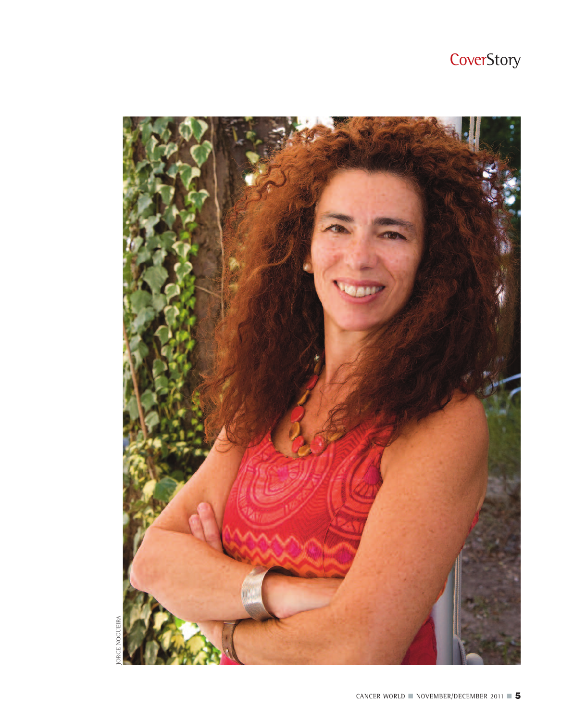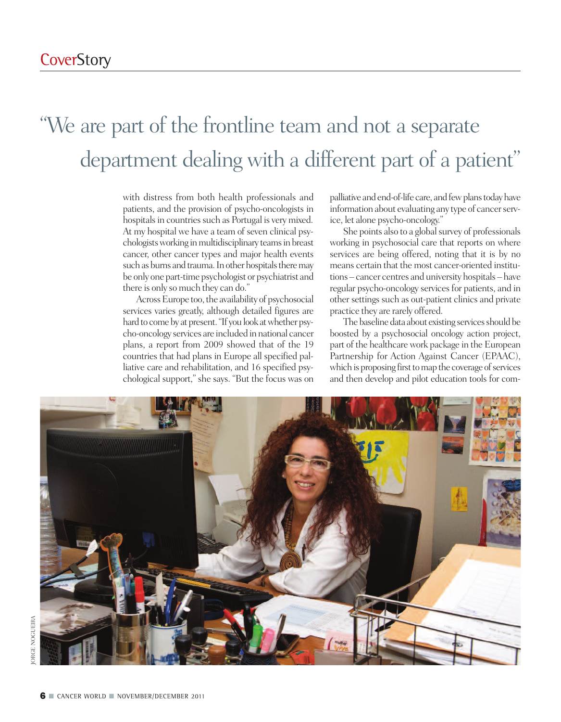## "We are part of the frontline team and not a separate department dealing with a different part of a patient"

with distress from both health professionals and patients, and the provision of psycho-oncologists in hospitals in countries such as Portugal is very mixed. At my hospital we have a team of seven clinical psychologists working in multidisciplinary teams in breast cancer, other cancer types and major health events such as burns and trauma. In other hospitals there may be only one part-time psychologist or psychiatrist and there is only so much they can do."

Across Europe too, the availability of psychosocial services varies greatly, although detailed figures are hard to come by at present. "If you look at whether psycho-oncology services are included in national cancer plans, a report from 2009 showed that of the 19 countries that had plans in Europe all specified palliative care and rehabilitation, and 16 specified psychological support," she says. "But the focus was on palliative and end-of-life care, and few plans today have information about evaluating any type of cancer service, let alone psycho-oncology."

She points also to a global survey of professionals working in psychosocial care that reports on where services are being offered, noting that it is by no means certain that the most cancer-oriented institutions – cancer centres and university hospitals – have regular psycho-oncology services for patients, and in other settings such as out-patient clinics and private practice they are rarely offered.

The baseline data about existing services should be boosted by a psychosocial oncology action project, part of the healthcare work package in the European Partnership for Action Against Cancer (EPAAC), which is proposing first to map the coverage of services and then develop and pilot education tools for com-

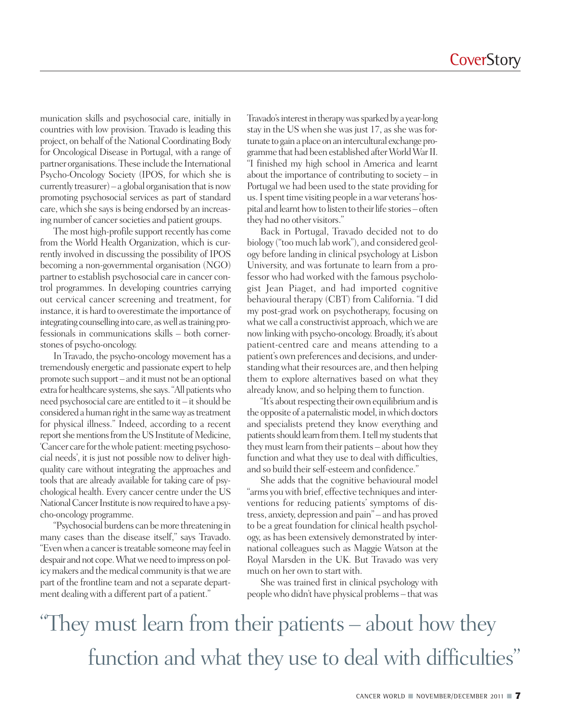munication skills and psychosocial care, initially in countries with low provision. Travado is leading this project, on behalf of the National Coordinating Body for Oncological Disease in Portugal, with a range of partner organisations.These include the International Psycho-Oncology Society (IPOS, for which she is currently treasurer) – a global organisation that is now promoting psychosocial services as part of standard care, which she says is being endorsed by an increasing number of cancer societies and patient groups.

The most high-profile support recently has come from the World Health Organization, which is currently involved in discussing the possibility of IPOS becoming a non-governmental organisation (NGO) partner to establish psychosocial care in cancer control programmes. In developing countries carrying out cervical cancer screening and treatment, for instance, it is hard to overestimate the importance of integrating counselling into care, as well as training professionals in communications skills – both cornerstones of psycho-oncology.

In Travado, the psycho-oncology movement has a tremendously energetic and passionate expert to help promote such support – and itmust not be an optional extra for healthcare systems, she says. "All patients who need psychosocial care are entitled to  $it - it$  should be considered a human right in the same way as treatment for physical illness." Indeed, according to a recent report she mentions from the US Institute of Medicine, 'Cancer care for the whole patient: meeting psychosocial needs', it is just not possible now to deliver highquality care without integrating the approaches and tools that are already available for taking care of psychological health. Every cancer centre under the US National Cancer Institute is now required to have a psycho-oncology programme.

"Psychosocial burdens canbemore threatening in many cases than the disease itself," says Travado. "Evenwhen a canceristreatable someonemay feel in despair and not cope. What we need to impress on policy makers and the medical community is that we are part of the frontline team and not a separate department dealing with a different part of a patient."

Travado's interest in therapy was sparked by a year-long stay in the US when she was just 17, as she was fortunate to gain a place on an intercultural exchange programme that had been established after World War II. "I finished my high school in America and learnt about the importance of contributing to society – in Portugal we had been used to the state providing for us. I spent time visiting people in a war veterans' hospital and learnt how to listen to their life stories – often they had no other visitors."

Back in Portugal, Travado decided not to do biology ("too much labwork"), and considered geology before landing in clinical psychology at Lisbon University, and was fortunate to learn from a professor who had worked with the famous psychologist Jean Piaget, and had imported cognitive behavioural therapy (CBT) from California. "I did my post-grad work on psychotherapy, focusing on what we call a constructivist approach, which we are nowlinkingwith psycho-oncology. Broadly, it's about patient-centred care and means attending to a patient's own preferences and decisions, and understandingwhat their resources are, and then helping them to explore alternatives based on what they already know, and so helping them to function.

"It's about respecting their own equilibrium and is the opposite of a paternalistic model, in which doctors and specialists pretend they know everything and patients should learn from them. I tell my students that they must learn from their patients – about how they function and what they use to deal with difficulties, and so build their self-esteem and confidence."

She adds that the cognitive behavioural model "arms youwith brief, effective techniques and interventions for reducing patients' symptoms of distress, anxiety, depression and pain" – and has proved to be a great foundation for clinical health psychology, as has been extensively demonstrated by international colleagues such as Maggie Watson at the Royal Marsden in the UK. But Travado was very much on her own to start with.

She was trained first in clinical psychology with peoplewho didn't have physical problems – thatwas

"They must learn from their patients – about how they function and what they use to deal with difficulties"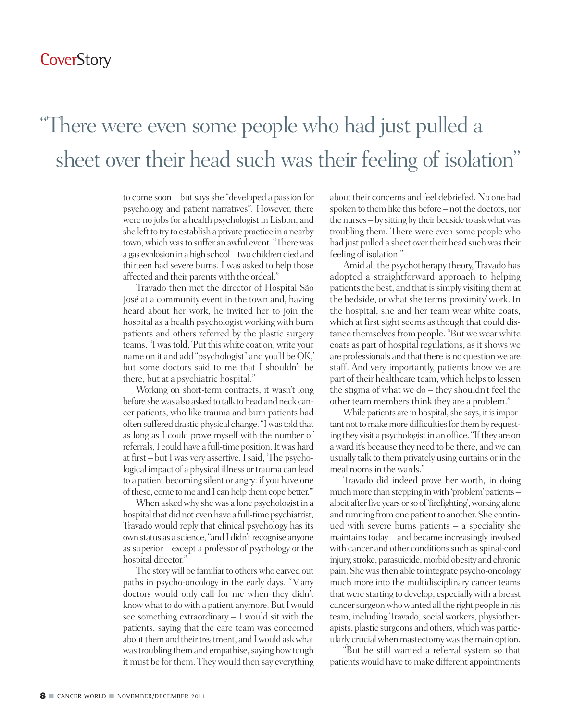### "There were even some people who had just pulled a sheet over their head such was their feeling of isolation"

to come soon – but says she "developed a passion for psychology and patient narratives". However, there were no jobs for a health psychologist in Lisbon, and she left to try to establish a private practice in a nearby town, which was to suffer an awful event. "There was a gas explosion in a high school–two children died and thirteen had severe burns. I was asked to help those affected and their parentswith the ordeal."

Travado then met the director of Hospital São José at a community event in the town and, having heard about her work, he invited her to join the hospital as a health psychologist working with burn patients and others referred by the plastic surgery teams."Iwastold, 'Putthiswhite coat on,write your name on it and add "psychologist" and you'll be OK,' but some doctors said to me that I shouldn't be there, but at a psychiatric hospital."

Working on short-term contracts, it wasn't long before she was also asked to talk to head and neck cancer patients, who like trauma and burn patients had often suffered drastic physical change. "I was told that as long as I could prove myself with the number of referrals, I could have a full-time position. It was hard at first – but I was very assertive. I said, 'The psychological impact of a physical illness or trauma can lead to a patient becoming silent or angry: if you have one of these, come to me and I can help them cope better."

When asked why she was a lone psychologist in a hospital that did not even have a full-time psychiatrist, Travado would reply that clinical psychology has its own status as a science, "and I didn't recognise anyone as superior – except a professor of psychology or the hospital director."

The story will be familiar to others who carved out paths in psycho-oncology in the early days. "Many doctors would only call for me when they didn't know what to do with a patient anymore. But I would see something extraordinary – I would sit with the patients, saying that the care team was concerned about them and their treatment, and I would ask what was troubling them and empathise, saying how tough it must be for them. They would then say everything about their concerns and feel debriefed. No one had spoken to them like this before – not the doctors, nor the nurses – by sitting by their bedside to ask what was troubling them. There were even some people who had just pulled a sheet over their head such was their feeling of isolation."

Amid all the psychotherapy theory, Travado has adopted a straightforward approach to helping patients the best, and that is simply visiting them at the bedside, or what she terms 'proximity' work. In the hospital, she and her team wear white coats, which at first sight seems as though that could distance themselves from people. "But we wear white coats as part of hospital regulations, as it shows we are professionals and that there is no question we are staff. And very importantly, patients know we are part of their healthcare team, which helps to lessen the stigma of what we do – they shouldn't feel the other team members think they are a problem."

While patients are in hospital, she says, it is important not to make more difficulties for them by requesting they visit a psychologist in an office. "If they are on award it's because they need to be there, andwe can usually talk to them privately using curtains or in the meal rooms in the wards."

Travado did indeed prove her worth, in doing much more than stepping in with 'problem' patients – albeit after five years or so of 'firefighting', working alone and running from one patient to another. She continued with severe burns patients – a speciality she maintainstoday – and became increasingly involved with cancer and other conditions such as spinal-cord injury, stroke, parasuicide, morbid obesity and chronic pain. Shewasthen able to integrate psycho-oncology much more into the multidisciplinary cancer teams thatwere starting to develop, especiallywith a breast cancer surgeon who wanted all the right people in his team, including Travado, social workers, physiotherapists, plastic surgeons and others, which was particularly crucial when mastectomy was the main option.

"But he still wanted a referral system so that patientswould have to make different appointments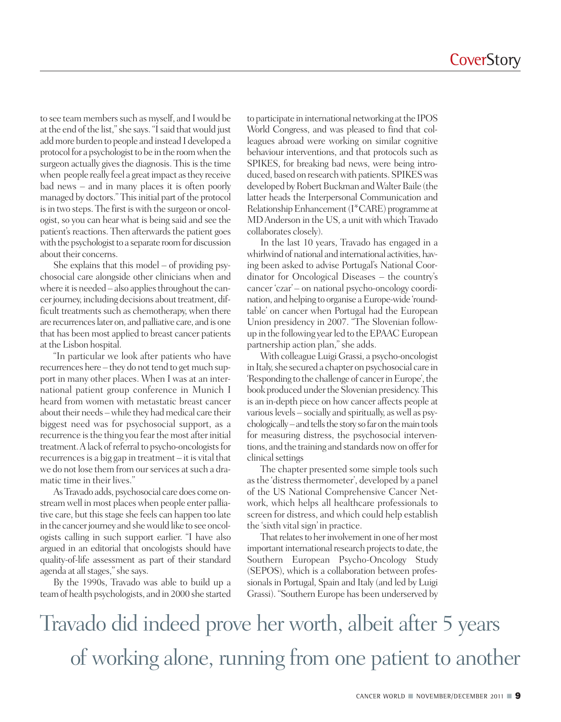to see team members such as myself, and I would be at the end of the list," she says. "I said that would just addmore burden to people and instead I developed a protocol for a psychologist to be in the room when the surgeon actually gives the diagnosis. This is the time when people really feel a great impact as they receive bad news – and in many places it is often poorly managed by doctors." This initial part of the protocol is in two steps. The first is with the surgeon or oncologist, so you can hear what is being said and see the patient's reactions. Then afterwards the patient goes with the psychologist to a separate room for discussion about their concerns.

She explains that this model – of providing psychosocial care alongside other clinicians when and where it is needed  $-$  also applies throughout the cancer journey, including decisions about treatment, difficult treatments such as chemotherapy, when there are recurrenceslater on, and palliative care, and is one that has been most applied to breast cancer patients at the Lisbon hospital.

"In particular we look after patients who have recurrences here – they do not tend to get much support in many other places. When I was at an international patient group conference in Munich I heard from women with metastatic breast cancer about their needs – while they had medical care their biggest need was for psychosocial support, as a recurrence is the thing you fear the most after initial treatment. A lack of referral to psycho-oncologists for recurrencesis a big gap in treatment – it is vital that we do not lose them from our services at such a dramatic time in their lives."

AsTravado adds, psychosocial care does come onstream well in most placeswhen people enter palliative care, but this stage she feels can happen too late in the cancer journey and she would like to see oncologists calling in such support earlier. "I have also argued in an editorial that oncologists should have quality-of-life assessment as part of their standard agenda at all stages," she says.

By the 1990s, Travado was able to build up a teamof health psychologists, and in 2000 she started to participate in international networking at the IPOS World Congress, and was pleased to find that colleagues abroad were working on similar cognitive behaviour interventions, and that protocols such as SPIKES, for breaking bad news, were being introduced, based on research with patients. SPIKES was developed by Robert Buckman and Walter Baile (the latter heads the Interpersonal Communication and Relationship Enhancement (I\*CARE) programme at MDAnderson in the US, a unit with which Travado collaborates closely).

In the last 10 years, Travado has engaged in a whirlwind of national and international activities, having been asked to advise Portugal's National Coordinator for Oncological Diseases – the country's cancer 'czar' – on national psycho-oncology coordination, and helping to organise a Europe-wide 'roundtable' on cancer when Portugal had the European Union presidency in 2007. "The Slovenian followup in the following yearled to theEPAAC European partnership action plan,"she adds.

With colleague Luigi Grassi, a psycho-oncologist in Italy, she secured a chapter on psychosocial care in 'Responding to the challenge of cancer in Europe', the book produced under the Slovenian presidency. This is an in-depth piece on how cancer affects people at various levels – socially and spiritually, as well as psychologically–and tells the story so far on the main tools for measuring distress, the psychosocial interventions, and the training and standards nowon offerfor clinical settings

The chapter presented some simple tools such asthe 'distressthermometer', developed by a panel of the US National Comprehensive Cancer Network, which helps all healthcare professionals to screen for distress, and which could help establish the 'sixth vital sign' in practice.

That relates to her involvement in one of her most important international research projects to date, the Southern European Psycho-Oncology Study (SEPOS), which is a collaboration between professionals in Portugal, Spain and Italy (and led by Luigi Grassi). "Southern Europe has been underserved by

Travado did indeed prove her worth, albeit after 5 years of working alone, running from one patient to another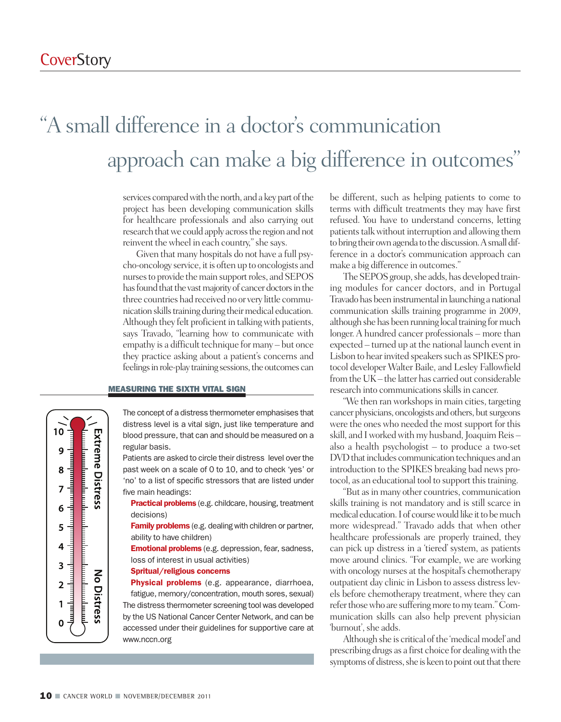$10<sup>1</sup>$ 

6

5

 $\overline{\mathbf{3}}$ 

 $\overline{2}$ 

**Extreme Distress** 

No Distress

### "A small difference in a doctor s communication ' approach can make a big difference in outcomes "

services compared with the north, and a key part of the project has been developing communication skills for healthcare professionals and also carrying out research that we could apply across the region and not reinvent the wheel in each country," she says.

Given that many hospitals do not have a full psycho-oncology service, it is often up to oncologists and nurses to provide the main support roles, and SEPOS has found that the vast majority of cancer doctors in the three countries had received no or very little communication skills training during their medical education. Although they felt proficient in talkingwith patients, says Travado, "learning how to communicate with empathy is a difficult technique for many – but once they practice asking about a patient's concerns and feelings in role-play training sessions, the outcomes can

### **MEASURING THE SIXTH VITAL SIGN**

The concept of a distress thermometer emphasises that distress level is a vital sign, just like temperature and blood pressure, that can and should be measured on a regular basis.

Patients are asked to circle their distress level over the past week on a scale of 0 to 10, and to check 'yes' or 'no' to a list of specific stressors that are listed under five main headings:

**Practical problems** (e.g. childcare, housing, treatment decisions)

**Family problems** (e.g. dealing with children or partner, ability to have children)

**Emotional problems** (e.g. depression, fear, sadness, loss of interest in usual activities)

#### **Spritual/religious concerns**

**Physical problems** (e.g. appearance, diarrhoea, fatigue, memory/concentration, mouth sores, sexual) The distress thermometer screening tool was developed by the US National Cancer Center Network, and can be accessed under their guidelines for supportive care at www.nccn.org

be different, such as helping patients to come to terms with difficult treatments they may have first refused. You have to understand concerns, letting patients talk without interruption and allowing them to bring their own agenda to the discussion. A small difference in a doctor's communication approach can make a big difference in outcomes."

The SEPOS group, she adds, has developed training modules for cancer doctors, and in Portugal Travado has been instrumental in launching a national communication skills training programme in 2009, although she has been running local training for much longer.A hundred cancer professionals – more than expected – turned up at the national launch event in Lisbon to hear invited speakers such as SPIKES protocol developer Walter Baile, and Lesley Fallowfield from the UK – the latter has carried out considerable research into communications skills in cancer.

"We then ran workshops in main cities, targeting cancer physicians, oncologists and others, but surgeons were the ones who needed the most support for this skill, and I worked with my husband, Joaquim Reis – also a health psychologist – to produce a two-set DVD that includes communication techniques and an introduction to the SPIKES breaking bad news protocol, as an educational tool to support thistraining.

"But asin many other countries, communication skills training is not mandatory and is still scarce in medical education. I of course would like it to be much more widespread." Travado adds that when other healthcare professionals are properly trained, they can pick up distress in a 'tiered' system, as patients move around clinics. "For example, we are working with oncology nurses at the hospital's chemotherapy outpatient day clinic in Lisbon to assess distress levels before chemotherapy treatment, where they can refer those who are suffering more to my team." Communication skills can also help prevent physician 'burnout', she adds.

Although she is critical of the 'medical model' and prescribing drugs as a first choice for dealingwith the symptoms of distress, she is keen to point out that there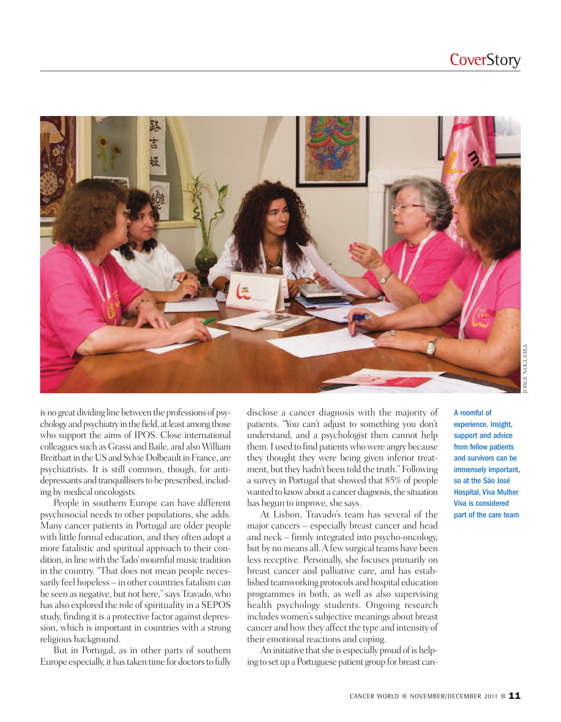

is no great dividing line between the professions of psychology and psychiatry in the field, at least among those who support the aims of IPOS. Close international colleagues such as Grassi and Baile, and also William Breitbart in the US and Sylvie Dolbeault in France, are psychiatrists. It is still common, though, for antidepressants and tranquillisers to be prescribed, including by medical oncologists.

People in southern Europe can have different psychosocial needs to other populations, she adds. Many cancer patients in Portugal are older people with little formal education, and they often adopt a more fatalistic and spiritual approach to their condition, in line with the 'fado' mournful music tradition in the country. "That does not mean people necessarily feel hopeless - in other countries fatalism can be seen as negative, but not here,"says Travado,who has also explored the role of spirituality in a SEPOS study, finding it is a protective factor against depression, which is important in countries with a strong religious background.

But in Portugal, as in other parts of southern Europe especially, it has taken time for doctors to fully disclose a cancer diagnosis with the majority of patients. "You can't adjust to something you don't understand, and a psychologist then cannot help them. I used to find patients who were angry because they thought they were being given inferior treatment, but they hadn't been told the truth." Following a survey in Portugal that showed that 85% of people wanted to know about a cancer diagnosis, the situation has begun to improve, she says.

At Lisbon, Travado's team has several of the major cancers – especially breast cancer and head and neck – firmly integrated into psycho-oncology, but by no means all.Afewsurgical teams have been less receptive. Personally, she focuses primarily on breast cancer and palliative care, and has established teamworking protocols and hospital education programmes in both, as well as also supervising health psychology students. Ongoing research includes women's subjective meanings about breast cancer and howthey affect the type and intensity of their emotional reactions and coping.

An initiative that she is especially proud of is helping to set up a Portuguese patient group for breast canexperience. Insight, support and advice from fellow patients and survivors can be immensely important, so at the São José Hospital, Viva Mulher Viva is considered part of the care team

A roomful of